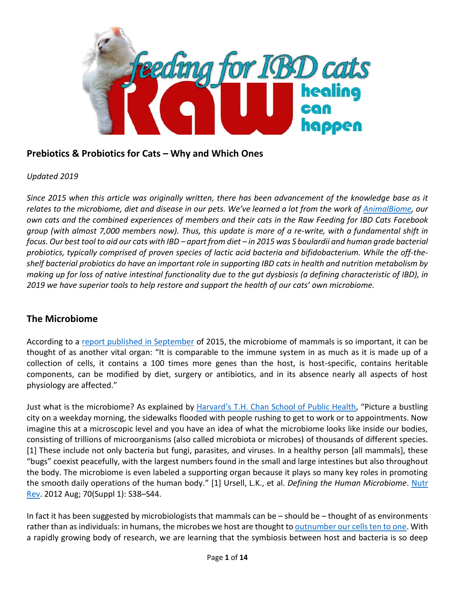

# **Prebiotics & Probiotics for Cats – Why and Which Ones**

### *Updated 2019*

*Since 2015 when this article was originally written, there has been advancement of the knowledge base as it relates to the microbiome, diet and disease in our pets. We've learned a lot from the work of [AnimalBiome,](https://www.animalbiome.com/) our own cats and the combined experiences of members and their cats in the Raw Feeding for IBD Cats Facebook group (with almost 7,000 members now). Thus, this update is more of a re-write, with a fundamental shift in focus. Our best tool to aid our cats with IBD – apart from diet – in 2015 was S boulardii and human grade bacterial probiotics, typically comprised of proven species of lactic acid bacteria and bifidobacterium. While the off-theshelf bacterial probiotics do have an important role in supporting IBD cats in health and nutrition metabolism by making up for loss of native intestinal functionality due to the gut dysbiosis (a defining characteristic of IBD), in 2019 we have superior tools to help restore and support the health of our cats' own microbiome.*

## **The Microbiome**

According to a [report published in September](http://gut.bmj.com/content/early/2015/09/02/gutjnl-2015-309990.full) of 2015, the microbiome of mammals is so important, it can be thought of as another vital organ: "It is comparable to the immune system in as much as it is made up of a collection of cells, it contains a 100 times more genes than the host, is host-specific, contains heritable components, can be modified by diet, surgery or antibiotics, and in its absence nearly all aspects of host physiology are affected."

Just what is the microbiome? As explained by Harvard's [T.H. Chan School of Public Health,](https://www.hsph.harvard.edu/nutritionsource/microbiome/) "Picture a bustling city on a weekday morning, the sidewalks flooded with people rushing to get to work or to appointments. Now imagine this at a microscopic level and you have an idea of what the microbiome looks like inside our bodies, consisting of trillions of microorganisms (also called microbiota or microbes) of thousands of different species. [1] These include not only bacteria but fungi, parasites, and viruses. In a healthy person [all mammals], these "bugs" coexist peacefully, with the largest numbers found in the small and large intestines but also throughout the body. The microbiome is even labeled a supporting organ because it plays so many key roles in promoting the smooth daily operations of the human body." [1] Ursell, L.K., et al. *Defining the Human Microbiome*. [Nutr](https://www.ncbi.nlm.nih.gov/pmc/articles/PMC3426293/)  [Rev.](https://www.ncbi.nlm.nih.gov/pmc/articles/PMC3426293/) 2012 Aug; 70(Suppl 1): S38–S44.

In fact it has been suggested by microbiologists that mammals can be – should be – thought of as environments rather than as individuals: in humans, the microbes we host are thought to **outnumber our cells ten to one**. With a rapidly growing body of research, we are learning that the symbiosis between host and bacteria is so deep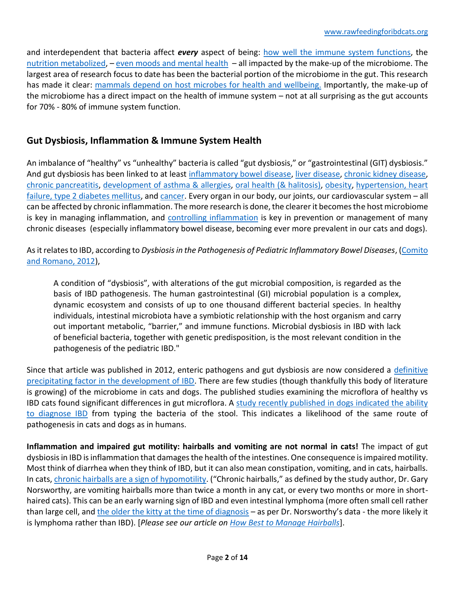and interdependent that bacteria affect *every* aspect of being: how well the [immune system functions](http://www.ncbi.nlm.nih.gov/pubmed/24499072), the [nutrition metabolized](http://jn.nutrition.org/content/140/3/677S.long), – [even moods](http://www.ncbi.nlm.nih.gov/pubmed/25470391) and mental health – all impacted by the make-up of the microbiome. The largest area of research focus to date has been the bacterial portion of the microbiome in the gut. This research has made it clear: mammals [depend on host microbes](http://seedmagazine.com/content/article/the_body_politic/) for health and wellbeing. Importantly, the make-up of the microbiome has a direct impact on the health of immune system – not at all surprising as the gut accounts for 70% - 80% of immune system function.

# **Gut Dysbiosis, Inflammation & Immune System Health**

An imbalance of "healthy" vs "unhealthy" bacteria is called "gut dysbiosis," or "gastrointestinal (GIT) dysbiosis." And gut dysbiosis has been linked to at least [inflammatory bowel disease,](http://www.nature.com/ajgsup/journal/v1/n1/full/ajgsup20124a.html) [liver disease,](http://www.cmghjournal.org/article/S2352-345X%2815%2900064-8/fulltext) [chronic kidney disease,](http://www.ncbi.nlm.nih.gov/m/pubmed/24212182/?i=5&from=%2F26462363%2Frelated) [chronic pancreatitis,](http://www.ncbi.nlm.nih.gov/pubmed/21994333) [development of asthma & allergies,](http://www.jwatch.org/na39262/2015/10/08/microbial-gut-dysbiosis-early-infancy-associated-with) [oral health \(& halitosis\),](http://www.scientificamerican.com/article/beat-bad-breath-keep-mouth-bacteria-happy/) [obesity,](http://www.ncbi.nlm.nih.gov/pmc/articles/PMC3539293/) [hypertension, heart](https://www.ncbi.nlm.nih.gov/pmc/articles/PMC5390330/)  [failure, type 2 diabetes mellitus,](https://www.ncbi.nlm.nih.gov/pmc/articles/PMC5390330/) an[d cancer.](http://www.ncbi.nlm.nih.gov/pmc/articles/PMC4313696/) Every organ in our body, our joints, our cardiovascular system - all can be affected by chronic inflammation. The more research is done, the clearer it becomes the host microbiome is key in managing inflammation, and [controlling inflammation](http://healthletter.mayoclinic.com/editorial/editorial.cfm/i/163/t/Buzzed%20on%20inflammation/) is key in prevention or management of many chronic diseases (especially inflammatory bowel disease, becoming ever more prevalent in our cats and dogs).

As it relates to IBD, according to *Dysbiosis in the Pathogenesis of Pediatric Inflammatory Bowel Diseases*, [\(Comito](http://www.hindawi.com/journals/iji/2012/687143/)  [and Romano, 2012\)](http://www.hindawi.com/journals/iji/2012/687143/),

A condition of "dysbiosis", with alterations of the gut microbial composition, is regarded as the basis of IBD pathogenesis. The human gastrointestinal (GI) microbial population is a complex, dynamic ecosystem and consists of up to one thousand different bacterial species. In healthy individuals, intestinal microbiota have a symbiotic relationship with the host organism and carry out important metabolic, "barrier," and immune functions. Microbial dysbiosis in IBD with lack of beneficial bacteria, together with genetic predisposition, is the most relevant condition in the pathogenesis of the pediatric IBD."

Since that article was published in 2012, enteric pathogens and gut dysbiosis are now considered a [definitive](http://www.sciencedaily.com/releases/2010/04/100426092803.htm)  [precipitating factor in the development of IBD.](http://www.sciencedaily.com/releases/2010/04/100426092803.htm) There are few studies (though thankfully this body of literature is growing) of the microbiome in cats and dogs. The published studies examining the microflora of healthy vs IBD cats found significant differences in gut microflora. A study recently published in dogs indicated the ability [to diagnose IBD](http://ucsdnews.ucsd.edu/pressrelease/dog_poop_microbiome_predicts_canine_inflammatory_bowel_disease) from typing the bacteria of the stool. This indicates a likelihood of the same route of pathogenesis in cats and dogs as in humans.

**Inflammation and impaired gut motility: hairballs and vomiting are not normal in cats!** The impact of gut dysbiosisin IBD is inflammation that damages the health of the intestines. One consequence is impaired motility. Most think of diarrhea when they think of IBD, but it can also mean constipation, vomiting, and in cats, hairballs. In cats[, chronic hairballs are a sign of hypomotility.](http://www.veterinarypracticenews.com/Chronic-Vomiting-in-Cats-isnt-Normal-After-All/) ("Chronic hairballs," as defined by the study author, Dr. Gary Norsworthy, are vomiting hairballs more than twice a month in any cat, or every two months or more in shorthaired cats). This can be an early warning sign of IBD and even intestinal lymphoma (more often small cell rather than large cell, and [the older the kitty at the time of diagnosis](https://www.ncbi.nlm.nih.gov/pubmed/26331421) – as per Dr. Norsworthy's data - the more likely it is lymphoma rather than IBD). [*Please see our article on [How Best to Manage Hairballs](http://www.foodfurlife.com/best-manage-hairballs.html)*].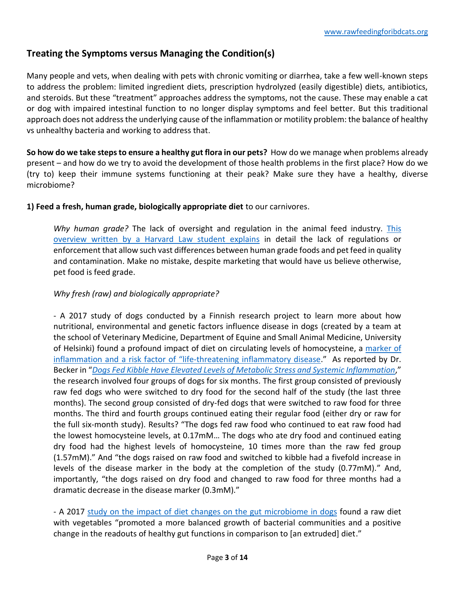## **Treating the Symptoms versus Managing the Condition(s)**

Many people and vets, when dealing with pets with chronic vomiting or diarrhea, take a few well-known steps to address the problem: limited ingredient diets, prescription hydrolyzed (easily digestible) diets, antibiotics, and steroids. But these "treatment" approaches address the symptoms, not the cause. These may enable a cat or dog with impaired intestinal function to no longer display symptoms and feel better. But this traditional approach does not address the underlying cause of the inflammation or motility problem: the balance of healthy vs unhealthy bacteria and working to address that.

**So how do we take steps to ensure a healthy gut flora in our pets?** How do we manage when problems already present – and how do we try to avoid the development of those health problems in the first place? How do we (try to) keep their immune systems functioning at their peak? Make sure they have a healthy, diverse microbiome?

**1) Feed a fresh, human grade, biologically appropriate diet** to our carnivores.

*Why human grade?* The lack of oversight and regulation in the animal feed industry. [This](https://dash.harvard.edu/bitstream/handle/1/10018997/Patrick06.html?sequence=2)  overview [written by a Harvard Law student explains](https://dash.harvard.edu/bitstream/handle/1/10018997/Patrick06.html?sequence=2) in detail the lack of regulations or enforcement that allow such vast differences between human grade foods and pet feed in quality and contamination. Make no mistake, despite marketing that would have us believe otherwise, pet food is feed grade.

#### *Why fresh (raw) and biologically appropriate?*

- A 2017 study of dogs conducted by a Finnish research project to learn more about how nutritional, environmental and genetic factors influence disease in dogs (created by a team at the school of Veterinary Medicine, Department of Equine and Small Animal Medicine, University of Helsinki) found a profound impact of diet on circulating levels of homocysteine, a [marker of](http://www.labmed.org.tw/upfiles/issues/20091222114147.pdf)  inflammation and a risk factor of "life[-threatening inflammatory disease](http://www.labmed.org.tw/upfiles/issues/20091222114147.pdf)." As reported by Dr. Becker in "*[Dogs Fed Kibble Have Elevated Levels of Metabolic Stress and Systemic Inflammation](https://healthypets.mercola.com/sites/healthypets/archive/2017/11/08/kibble-fed-dogs-metabolic-stress-levels.aspx)*," the research involved four groups of dogs for six months. The first group consisted of previously raw fed dogs who were switched to dry food for the second half of the study (the last three months). The second group consisted of dry-fed dogs that were switched to raw food for three months. The third and fourth groups continued eating their regular food (either dry or raw for the full six-month study). Results? "The dogs fed raw food who continued to eat raw food had the lowest homocysteine levels, at 0.17mM… The dogs who ate dry food and continued eating dry food had the highest levels of homocysteine, 10 times more than the raw fed group (1.57mM)." And "the dogs raised on raw food and switched to kibble had a fivefold increase in levels of the disease marker in the body at the completion of the study (0.77mM)." And, importantly, "the dogs raised on dry food and changed to raw food for three months had a dramatic decrease in the disease marker (0.3mM)."

- A 2017 [study on the impact of diet changes on the gut microbiome in dogs](https://www.ncbi.nlm.nih.gov/pubmed/28245817) found a raw diet with vegetables "promoted a more balanced growth of bacterial communities and a positive change in the readouts of healthy gut functions in comparison to [an extruded] diet."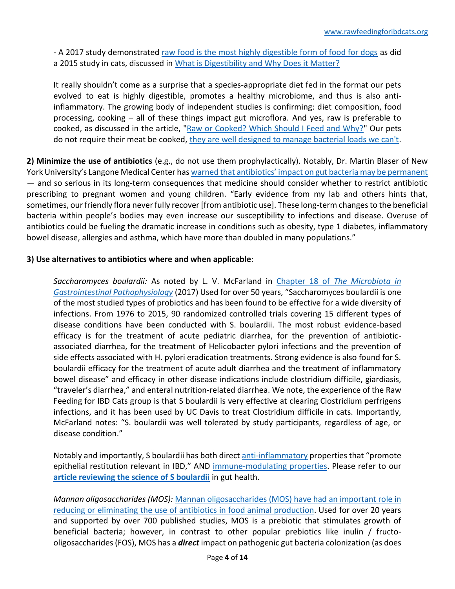- A 2017 study demonstrated [raw food is the most highly digestible form of food for dogs](https://www.ncbi.nlm.nih.gov/pubmed/28265505) as did a 2015 study in cats, discussed in [What is Digestibility and Why Does it Matter?](http://www.foodfurlife.com/what-is-digestibility-and-why-does-it-matter.html)

It really shouldn't come as a surprise that a species-appropriate diet fed in the format our pets evolved to eat is highly digestible, promotes a healthy microbiome, and thus is also antiinflammatory. The growing body of independent studies is confirming: diet composition, food processing, cooking – all of these things impact gut microflora. And yes, raw is preferable to cooked, as discussed in the article, ["Raw or Cooked? Which Should I Feed and Why?"](http://www.foodfurlife.com/raw-or-cooked-which-should-i-feed-and-why.html) Our pets do not require their meat be cooked, [they are well designed to manage bacterial loads we can't.](http://www.foodfurlife.com/why-you-should-feed-your-immune-compromised-cat-raw-food1.html)

**2) Minimize the use of antibiotics** (e.g., do not use them prophylactically). Notably, Dr. Martin Blaser of New York University's Langone Medical Center ha[s warned that antibiotics' impact on gut bacteria may be permanent](http://www.wired.com/2011/08/killing-beneficial-bacteria/) — and so serious in its long-term consequences that medicine should consider whether to restrict antibiotic prescribing to pregnant women and young children. "Early evidence from my lab and others hints that, sometimes, our friendly flora never fully recover [from antibiotic use]. These long-term changes to the beneficial bacteria within people's bodies may even increase our susceptibility to infections and disease. Overuse of antibiotics could be fueling the dramatic increase in conditions such as obesity, type 1 diabetes, inflammatory bowel disease, allergies and asthma, which have more than doubled in many populations."

#### **3) Use alternatives to antibiotics where and when applicable**:

*Saccharomyces boulardii:* As noted by L. V. McFarland in Chapter 18 of *[The Microbiota in](https://www.sciencedirect.com/science/article/pii/B9780128040249000185)  [Gastrointestinal Pathophysiology](https://www.sciencedirect.com/science/article/pii/B9780128040249000185)* (2017) Used for over 50 years, "Saccharomyces boulardii is one of the most studied types of probiotics and has been found to be effective for a wide diversity of infections. From 1976 to 2015, 90 randomized controlled trials covering 15 different types of disease conditions have been conducted with S. boulardii. The most robust evidence-based efficacy is for the treatment of acute pediatric diarrhea, for the prevention of antibioticassociated diarrhea, for the treatment of Helicobacter pylori infections and the prevention of side effects associated with H. pylori eradication treatments. Strong evidence is also found for S. boulardii efficacy for the treatment of acute adult diarrhea and the treatment of inflammatory bowel disease" and efficacy in other disease indications include clostridium difficile, giardiasis, "traveler's diarrhea," and enteral nutrition-related diarrhea. We note, the experience of the Raw Feeding for IBD Cats group is that S boulardii is very effective at clearing Clostridium perfrigens infections, and it has been used by UC Davis to treat Clostridium difficile in cats. Importantly, McFarland notes: "S. boulardii was well tolerated by study participants, regardless of age, or disease condition."

Notably and importantly, S boulardii has both direc[t anti-inflammatory](https://www.ncbi.nlm.nih.gov/pubmed/21903765) properties that "promote epithelial restitution relevant in IBD," AND [immune-modulating properties.](https://www.ncbi.nlm.nih.gov/pmc/articles/PMC5027949/) Please refer to our **[article reviewing the science of S boulardii](http://www.rawfeedingforibdcats.org/s-boulardii---review-of-the-science.html)** in gut health.

*Mannan oligosaccharides (MOS):* [Mannan oligosaccharides](https://www.cambridge.org/core/journals/journal-of-applied-animal-nutrition/article/review-of-733-published-trials-on-biomos-a-mannan-oligosaccharide-and-actigen-a-second-generation-mannose-rich-fraction-on-farm-and-companion-animals/446A59EDBF103F66D77446FC9C011824#fndtn-information) (MOS) have had an important role in reducing or eliminating the use of antibiotics [in food animal production.](https://www.cambridge.org/core/journals/journal-of-applied-animal-nutrition/article/review-of-733-published-trials-on-biomos-a-mannan-oligosaccharide-and-actigen-a-second-generation-mannose-rich-fraction-on-farm-and-companion-animals/446A59EDBF103F66D77446FC9C011824#fndtn-information) Used for over 20 years and supported by over 700 published studies, MOS is a prebiotic that stimulates growth of beneficial bacteria; however, in contrast to other popular prebiotics like inulin / fructooligosaccharides (FOS), MOS has a *direct* impact on pathogenic gut bacteria colonization (as does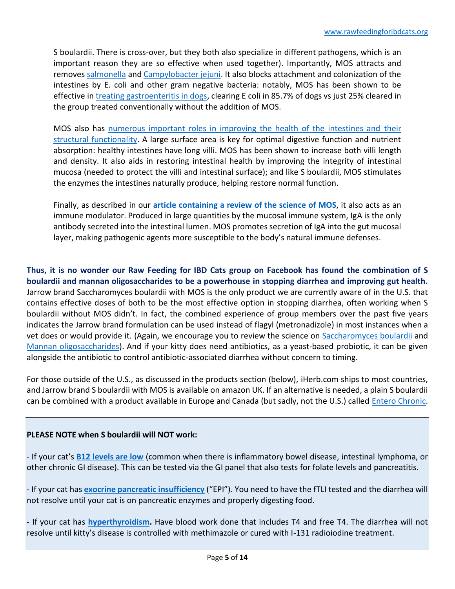S boulardii. There is cross-over, but they both also specialize in different pathogens, which is an important reason they are so effective when used together). Importantly, MOS attracts and removes [salmonella](https://pdfs.semanticscholar.org/46b3/3e2388285a520a6073b49f49c5f9b771f5c9.pdf) and [Campylobacter jejuni.](https://www.ncbi.nlm.nih.gov/pubmed/26219363) It also blocks attachment and colonization of the intestines by E. coli and other gram negative bacteria: notably, MOS has been shown to be effective in [treating gastroenteritis in dogs,](http://www.scielo.br/scielo.php?script=sci_arttext&pid=S0102-86502006001000006&lng=en&nrm=iso&tlng=en) clearing E coli in 85.7% of dogs vs just 25% cleared in the group treated conventionally without the addition of MOS.

MOS also has [numerous important roles in improving the health of the intestines and their](https://www.petfoodindustry.com/ext/resources/Images-by-month-year/16_01/actigen-bio-mos-trials-study-1601PETgut.pdf)  [structural functionality.](https://www.petfoodindustry.com/ext/resources/Images-by-month-year/16_01/actigen-bio-mos-trials-study-1601PETgut.pdf) A large surface area is key for optimal digestive function and nutrient absorption: healthy intestines have long villi. MOS has been shown to increase both villi length and density. It also aids in restoring intestinal health by improving the integrity of intestinal mucosa (needed to protect the villi and intestinal surface); and like S boulardii, MOS stimulates the enzymes the intestines naturally produce, helping restore normal function.

Finally, as described in our **article containing a [review of the science](http://www.rawfeedingforibdcats.org/mannan-oligosaccharides-mos---review-of-the-science.html) of MOS**, it also acts as an immune modulator. Produced in large quantities by the mucosal immune system, IgA is the only antibody secreted into the intestinal lumen. MOS promotes secretion of IgA into the gut mucosal layer, making pathogenic agents more susceptible to the body's natural immune defenses.

**Thus, it is no wonder our Raw Feeding for IBD Cats group on Facebook has found the combination of S boulardii and mannan oligosaccharides to be a powerhouse in stopping diarrhea and improving gut health.** Jarrow brand Saccharomyces boulardii with MOS is the only product we are currently aware of in the U.S. that contains effective doses of both to be the most effective option in stopping diarrhea, often working when S boulardii without MOS didn't. In fact, the combined experience of group members over the past five years indicates the Jarrow brand formulation can be used instead of flagyl (metronadizole) in most instances when a vet does or would provide it. (Again, we encourage you to review the science on [Saccharomyces](http://www.rawfeedingforibdcats.org/s-boulardii---review-of-the-science.html) boulardii and [Mannan oligosaccharides\)](http://www.rawfeedingforibdcats.org/mannan-oligosaccharides-mos---review-of-the-science.html). And if your kitty does need antibiotics, as a yeast-based probiotic, it can be given alongside the antibiotic to control antibiotic-associated diarrhea without concern to timing.

For those outside of the U.S., as discussed in the products section (below), iHerb.com ships to most countries, and Jarrow brand S boulardii with MOS is available on amazon UK. If an alternative is needed, a plain S boulardii can be combined with a product available in Europe and Canada (but sadly, not the U.S.) called **Entero Chronic**.

### **PLEASE NOTE when S boulardii will NOT work:**

- If your cat's **[B12 levels are low](https://www.zora.uzh.ch/id/eprint/72883/1/Kook_2013_NAVC_Cobalamin_in_GI_disease.pdf)** (common when there is inflammatory bowel disease, intestinal lymphoma, or other chronic GI disease). This can be tested via the GI panel that also tests for folate levels and pancreatitis.

- If your cat has **[exocrine pancreatic insufficiency](http://veterinarynews.dvm360.com/exocrine-pancreatic-insufficiency-cats-more-common-veterinarians-think)** ("EPI"). You need to have the fTLI tested and the diarrhea will not resolve until your cat is on pancreatic enzymes and properly digesting food.

- If your cat has **[hyperthyroidism.](https://catinfo.org/feline-hyperthyroidism/)** Have blood work done that includes T4 and free T4. The diarrhea will not resolve until kitty's disease is controlled with methimazole or cured with I-131 radioiodine treatment.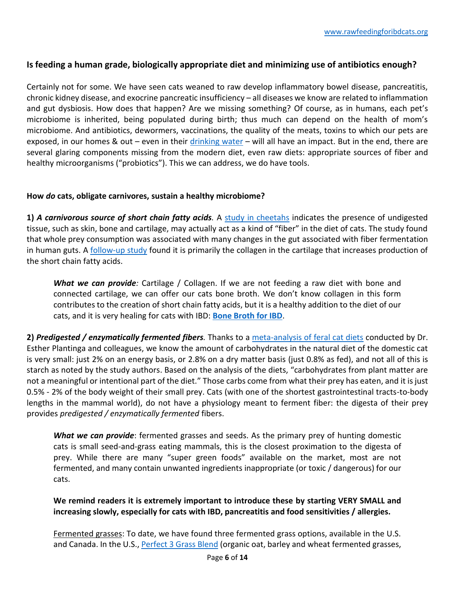### **Is feeding a human grade, biologically appropriate diet and minimizing use of antibiotics enough?**

Certainly not for some. We have seen cats weaned to raw develop inflammatory bowel disease, pancreatitis, chronic kidney disease, and exocrine pancreatic insufficiency – all diseases we know are related to inflammation and gut dysbiosis. How does that happen? Are we missing something? Of course, as in humans, each pet's microbiome is inherited, being populated during birth; thus much can depend on the health of mom's microbiome. And antibiotics, dewormers, vaccinations, the quality of the meats, toxins to which our pets are exposed, in our homes & out – even in their  $drinking water$  – will all have an impact. But in the end, there are several glaring components missing from the modern diet, even raw diets: appropriate sources of fiber and healthy microorganisms ("probiotics"). This we can address, we do have tools.

#### **How** *do* **cats, obligate carnivores, sustain a healthy microbiome?**

**1)** *A carnivorous source of short chain fatty acids.* A [study in cheetahs](http://www.ncbi.nlm.nih.gov/pubmed/22074361) indicates the presence of undigested tissue, such as skin, bone and cartilage, may actually act as a kind of "fiber" in the diet of cats. The study found that whole prey consumption was associated with many changes in the gut associated with fiber fermentation in human guts. A [follow-up study](https://www.ncbi.nlm.nih.gov/pubmed/22287677) found it is primarily the collagen in the cartilage that increases production of the short chain fatty acids.

*What we can provide:* Cartilage / Collagen. If we are not feeding a raw diet with bone and connected cartilage, we can offer our cats bone broth. We don't know collagen in this form contributes to the creation of short chain fatty acids, but it is a healthy addition to the diet of our cats, and it is very healing for cats with IBD: **[Bone Broth for IBD](http://www.rawfeedingforibdcats.org/bone-broth-for-ibd.html)**.

**2)** *Predigested / enzymatically fermented fibers.* Thanks to a [meta-analysis of feral cat diets](https://www.cambridge.org/core/journals/british-journal-of-nutrition/article/estimation-of-the-dietary-nutrient-profile-of-freeroaming-feral-cats-possible-implications-for-nutrition-of-domestic-cats/2E0E827469FFC1AF51387E045C06759A) conducted by Dr. Esther Plantinga and colleagues, we know the amount of carbohydrates in the natural diet of the domestic cat is very small: just 2% on an energy basis, or 2.8% on a dry matter basis (just 0.8% as fed), and not all of this is starch as noted by the study authors. Based on the analysis of the diets, "carbohydrates from plant matter are not a meaningful or intentional part of the diet." Those carbs come from what their prey has eaten, and it is just 0.5% - 2% of the body weight of their small prey. Cats (with one of the shortest gastrointestinal tracts-to-body lengths in the mammal world), do not have a physiology meant to ferment fiber: the digesta of their prey provides *predigested / enzymatically fermented* fibers.

*What we can provide*: fermented grasses and seeds. As the primary prey of hunting domestic cats is small seed-and-grass eating mammals, this is the closest proximation to the digesta of prey. While there are many "super green foods" available on the market, most are not fermented, and many contain unwanted ingredients inappropriate (or toxic / dangerous) for our cats.

**We remind readers it is extremely important to introduce these by starting VERY SMALL and increasing slowly, especially for cats with IBD, pancreatitis and food sensitivities / allergies.** 

Fermented grasses: To date, we have found three fermented grass options, available in the U.S. and Canada. In the U.S., [Perfect 3 Grass Blend](https://www.amazon.com/Perfect-Supplements-3-Grass-Blend/dp/B00CLFIM7A/ref=sr_1_5?keywords=perfect+3+grass+blend&qid=1550085224&s=gateway&sr=8-5) (organic oat, barley and wheat fermented grasses,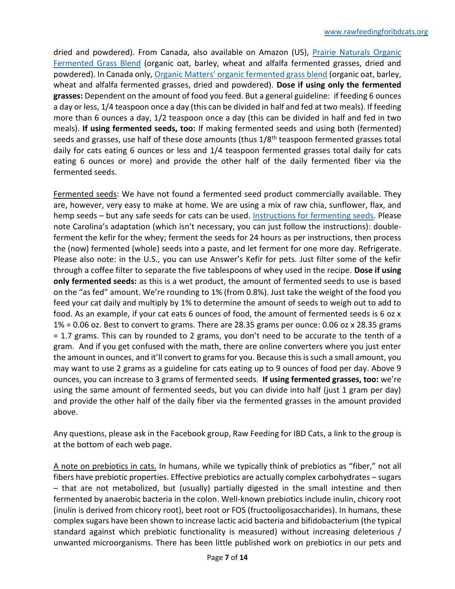dried and powdered). From Canada, also available on Amazon (US), [Prairie Naturals Organic](https://www.amazon.com/Prairie-Naturals-Organic-Fermented-Grasses/dp/B01M2BT9YR/ref=sr_1_fkmrnull_1?keywords=prairie%2Bgrass%2Bfermented%2Bgrass%2Bblend&qid=1550085286&s=gateway&sr=8-1-fkmrnull&th=1)  [Fermented Grass Blend](https://www.amazon.com/Prairie-Naturals-Organic-Fermented-Grasses/dp/B01M2BT9YR/ref=sr_1_fkmrnull_1?keywords=prairie%2Bgrass%2Bfermented%2Bgrass%2Bblend&qid=1550085286&s=gateway&sr=8-1-fkmrnull&th=1) (organic oat, barley, wheat and alfalfa fermented grasses, dried and powdered). In Canada only, Organic Matters[' organic fermented grass blend](https://www.omfoods.com/products/herbs-spices-boosters-teas-organic-grasses-blend-fermented) (organic oat, barley, wheat and alfalfa fermented grasses, dried and powdered). **Dose if using only the fermented grasses:** Dependent on the amount of food you feed. But a general guideline: if feeding 6 ounces a day or less, 1/4 teaspoon once a day (this can be divided in half and fed at two meals). If feeding more than 6 ounces a day, 1/2 teaspoon once a day (this can be divided in half and fed in two meals). **If using fermented seeds, too:** If making fermented seeds and using both (fermented) seeds and grasses, use half of these dose amounts (thus 1/8<sup>th</sup> teaspoon fermented grasses total daily for cats eating 6 ounces or less and 1/4 teaspoon fermented grasses total daily for cats eating 6 ounces or more) and provide the other half of the daily fermented fiber via the fermented seeds.

Fermented seeds: We have not found a fermented seed product commercially available. They are, however, very easy to make at home. We are using a mix of raw chia, sunflower, flax, and hemp seeds – but any safe seeds for cats can be used. [Instructions for fermenting seeds.](https://keepthetailwagging.com/recipe-for-fermenting-seeds-for-dogs/) Please note Carolina's adaptation (which isn't necessary, you can just follow the instructions): doubleferment the kefir for the whey; ferment the seeds for 24 hours as per instructions, then process the (now) fermented (whole) seeds into a paste, and let ferment for one more day. Refrigerate. Please also note: in the U.S., you can use Answer's Kefir for pets. Just filter some of the kefir through a coffee filter to separate the five tablespoons of whey used in the recipe. **Dose if using only fermented seeds:** as this is a wet product, the amount of fermented seeds to use is based on the "as fed" amount. We're rounding to 1% (from 0.8%). Just take the weight of the food you feed your cat daily and multiply by 1% to determine the amount of seeds to weigh out to add to food. As an example, if your cat eats 6 ounces of food, the amount of fermented seeds is 6 oz x 1% = 0.06 oz. Best to convert to grams. There are 28.35 grams per ounce: 0.06 oz x 28.35 grams = 1.7 grams. This can by rounded to 2 grams, you don't need to be accurate to the tenth of a gram. And if you get confused with the math, there are online converters where you just enter the amount in ounces, and it'll convert to grams for you. Because this is such a small amount, you may want to use 2 grams as a guideline for cats eating up to 9 ounces of food per day. Above 9 ounces, you can increase to 3 grams of fermented seeds. **If using fermented grasses, too:** we're using the same amount of fermented seeds, but you can divide into half (just 1 gram per day) and provide the other half of the daily fiber via the fermented grasses in the amount provided above.

Any questions, please ask in the Facebook group, Raw Feeding for IBD Cats, a link to the group is at the bottom of each web page.

A note on prebiotics in cats. In humans, while we typically think of prebiotics as "fiber," not all fibers have prebiotic properties. Effective prebiotics are actually complex carbohydrates – sugars – that are not metabolized, but (usually) partially digested in the small intestine and then fermented by anaerobic bacteria in the colon. Well-known prebiotics include inulin, chicory root (inulin is derived from chicory root), beet root or FOS (fructooligosaccharides). In humans, these complex sugars have been shown to increase lactic acid bacteria and bifidobacterium (the typical standard against which prebiotic functionality is measured) without increasing deleterious / unwanted microorganisms. There has been little published work on prebiotics in our pets and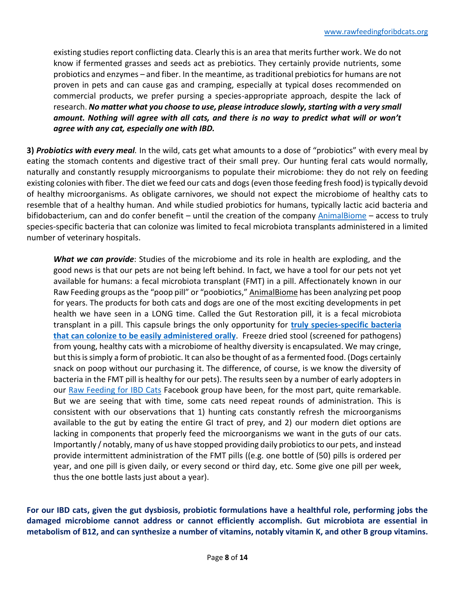existing studies report conflicting data. Clearly this is an area that merits further work. We do not know if fermented grasses and seeds act as prebiotics. They certainly provide nutrients, some probiotics and enzymes – and fiber. In the meantime, as traditional prebiotics for humans are not proven in pets and can cause gas and cramping, especially at typical doses recommended on commercial products, we prefer pursing a species-appropriate approach, despite the lack of research. No matter what you choose to use, please introduce slowly, starting with a very small *amount. Nothing will agree with all cats, and there is no way to predict what will or won't agree with any cat, especially one with IBD.*

**3)** *Probiotics with every meal.* In the wild, cats get what amounts to a dose of "probiotics" with every meal by eating the stomach contents and digestive tract of their small prey. Our hunting feral cats would normally, naturally and constantly resupply microorganisms to populate their microbiome: they do not rely on feeding existing colonies with fiber. The diet we feed our cats and dogs(even those feeding fresh food) istypically devoid of healthy microorganisms. As obligate carnivores, we should not expect the microbiome of healthy cats to resemble that of a healthy human. And while studied probiotics for humans, typically lactic acid bacteria and bifidobacterium, can and do confer benefit – until the creation of the company [AnimalBiome](https://www.animalbiome.com/) – access to truly species-specific bacteria that can colonize was limited to fecal microbiota transplants administered in a limited number of veterinary hospitals.

*What we can provide*: Studies of the microbiome and its role in health are exploding, and the good news is that our pets are not being left behind. In fact, we have a tool for our pets not yet available for humans: a fecal microbiota transplant (FMT) in a pill. Affectionately known in our Raw Feeding groups as the "poop pill" or "poobiotics," AnimalBiome has been analyzing pet poop for years. The products for both cats and dogs are one of the most exciting developments in pet health we have seen in a LONG time. Called the Gut Restoration pill, it is a fecal microbiota transplant in a pill. This capsule brings the only opportunity for **[truly species-specific bacteria](https://www.animalbiome.com/blogs/news/healing-your-pet-with-a-fecal-microbiota-transplant)  [that can colonize to be easily administered orally](https://www.animalbiome.com/blogs/news/healing-your-pet-with-a-fecal-microbiota-transplant)**. Freeze dried stool (screened for pathogens) from young, healthy cats with a microbiome of healthy diversity is encapsulated. We may cringe, but this is simply a form of probiotic. It can also be thought of as a fermented food. (Dogs certainly snack on poop without our purchasing it. The difference, of course, is we know the diversity of bacteria in the FMT pill is healthy for our pets). The results seen by a number of early adopters in our [Raw Feeding for IBD Cats](https://www.facebook.com/groups/RawFedIBD) Facebook group have been, for the most part, quite remarkable. But we are seeing that with time, some cats need repeat rounds of administration. This is consistent with our observations that 1) hunting cats constantly refresh the microorganisms available to the gut by eating the entire GI tract of prey, and 2) our modern diet options are lacking in components that properly feed the microorganisms we want in the guts of our cats. Importantly / notably, many of us have stopped providing daily probiotics to our pets, and instead provide intermittent administration of the FMT pills ((e.g. one bottle of (50) pills is ordered per year, and one pill is given daily, or every second or third day, etc. Some give one pill per week, thus the one bottle lasts just about a year).

**For our IBD cats, given the gut dysbiosis, probiotic formulations have a healthful role, performing jobs the damaged microbiome cannot address or cannot efficiently accomplish. Gut microbiota are essential in metabolism of B12, and can synthesize a number of vitamins, notably vitamin K, and other B group vitamins.**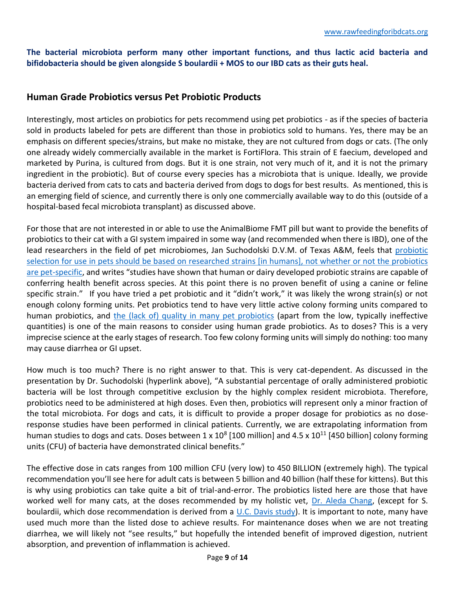**The bacterial microbiota perform many other important functions, and thus lactic acid bacteria and bifidobacteria should be given alongside S boulardii + MOS to our IBD cats as their guts heal.** 

## **Human Grade Probiotics versus Pet Probiotic Products**

Interestingly, most articles on probiotics for pets recommend using pet probiotics - as if the species of bacteria sold in products labeled for pets are different than those in probiotics sold to humans. Yes, there may be an emphasis on different species/strains, but make no mistake, they are not cultured from dogs or cats. (The only one already widely commercially available in the market is FortiFlora. This strain of E faecium, developed and marketed by Purina, is cultured from dogs. But it is one strain, not very much of it, and it is not the primary ingredient in the probiotic). But of course every species has a microbiota that is unique. Ideally, we provide bacteria derived from cats to cats and bacteria derived from dogs to dogs for best results. As mentioned, this is an emerging field of science, and currently there is only one commercially available way to do this (outside of a hospital-based fecal microbiota transplant) as discussed above.

For those that are not interested in or able to use the AnimalBiome FMT pill but want to provide the benefits of probiotics to their cat with a GI system impaired in some way (and recommended when there is IBD), one of the lead researchers in the field of pet microbiomes, Jan Suchodolski D.V.M. of Texas A&M, feels that [probiotic](https://assets.documentcloud.org/documents/1875880/probiotics-polish-vet-journal-suchodolski-final.pdf)  [selection for use in pets should be based on researched strains \[in humans\], not whether or not the probiotics](https://assets.documentcloud.org/documents/1875880/probiotics-polish-vet-journal-suchodolski-final.pdf)  [are pet-specific](https://assets.documentcloud.org/documents/1875880/probiotics-polish-vet-journal-suchodolski-final.pdf), and writes "studies have shown that human or dairy developed probiotic strains are capable of conferring health benefit across species. At this point there is no proven benefit of using a canine or feline specific strain." If you have tried a pet probiotic and it "didn't work," it was likely the wrong strain(s) or not enough colony forming units. Pet probiotics tend to have very little active colony forming units compared to human probiotics, and [the \(lack of\) quality in many pet probiotics](http://www.veterinarypracticenews.com/September-2012/Prebiotics-Probiotics-And-Intestinal-Health/) (apart from the low, typically ineffective quantities) is one of the main reasons to consider using human grade probiotics. As to doses? This is a very imprecise science at the early stages of research. Too few colony forming units will simply do nothing: too many may cause diarrhea or GI upset.

How much is too much? There is no right answer to that. This is very cat-dependent. As discussed in the presentation by Dr. Suchodolski (hyperlink above), "A substantial percentage of orally administered probiotic bacteria will be lost through competitive exclusion by the highly complex resident microbiota. Therefore, probiotics need to be administered at high doses. Even then, probiotics will represent only a minor fraction of the total microbiota. For dogs and cats, it is difficult to provide a proper dosage for probiotics as no doseresponse studies have been performed in clinical patients. Currently, we are extrapolating information from human studies to dogs and cats. Doses between 1 x  $10^8$  [100 million] and 4.5 x  $10^{11}$  [450 billion] colony forming units (CFU) of bacteria have demonstrated clinical benefits."

The effective dose in cats ranges from 100 million CFU (very low) to 450 BILLION (extremely high). The typical recommendation you'll see here for adult cats is between 5 billion and 40 billion (half these for kittens). But this is why using probiotics can take quite a bit of trial-and-error. The probiotics listed here are those that have worked well for many cats, at the doses recommended by my holistic vet, [Dr. Aleda Chang,](http://www.medhelp.org/doctor_profiles/show/234713) (except for S. boulardii, which dose recommendation is derived from a [U.C. Davis study\)](http://vdi.sagepub.com/content/11/1/50.full.pdf). It is important to note, many have used much more than the listed dose to achieve results. For maintenance doses when we are not treating diarrhea, we will likely not "see results," but hopefully the intended benefit of improved digestion, nutrient absorption, and prevention of inflammation is achieved.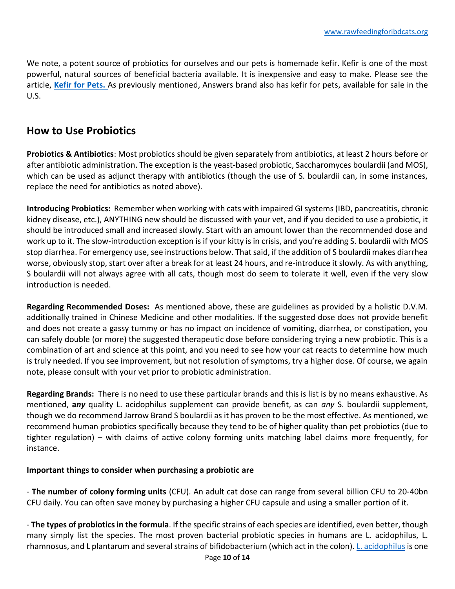We note, a potent source of probiotics for ourselves and our pets is homemade kefir. Kefir is one of the most powerful, natural sources of beneficial bacteria available. It is inexpensive and easy to make. Please see the article, **[Kefir for Pets.](http://www.foodfurlife.com/kefir-for-pets1.html)** As previously mentioned, Answers brand also has kefir for pets, available for sale in the U.S.

# **How to Use Probiotics**

**Probiotics & Antibiotics**: Most probiotics should be given separately from antibiotics, at least 2 hours before or after antibiotic administration. The exception is the yeast-based probiotic, Saccharomyces boulardii (and MOS), which can be used as adjunct therapy with antibiotics (though the use of S. boulardii can, in some instances, replace the need for antibiotics as noted above).

**Introducing Probiotics:** Remember when working with cats with impaired GI systems (IBD, pancreatitis, chronic kidney disease, etc.), ANYTHING new should be discussed with your vet, and if you decided to use a probiotic, it should be introduced small and increased slowly. Start with an amount lower than the recommended dose and work up to it. The slow-introduction exception is if your kitty is in crisis, and you're adding S. boulardii with MOS stop diarrhea. For emergency use, see instructions below. That said, if the addition of S boulardii makes diarrhea worse, obviously stop, start over after a break for at least 24 hours, and re-introduce it slowly. As with anything, S boulardii will not always agree with all cats, though most do seem to tolerate it well, even if the very slow introduction is needed.

**Regarding Recommended Doses:** As mentioned above, these are guidelines as provided by a holistic D.V.M. additionally trained in Chinese Medicine and other modalities. If the suggested dose does not provide benefit and does not create a gassy tummy or has no impact on incidence of vomiting, diarrhea, or constipation, you can safely double (or more) the suggested therapeutic dose before considering trying a new probiotic. This is a combination of art and science at this point, and you need to see how your cat reacts to determine how much is truly needed. If you see improvement, but not resolution of symptoms, try a higher dose. Of course, we again note, please consult with your vet prior to probiotic administration.

**Regarding Brands:** There is no need to use these particular brands and this is list is by no means exhaustive. As mentioned, **a***ny* quality L. acidophilus supplement can provide benefit, as can *any* S. boulardii supplement, though we do recommend Jarrow Brand S boulardii as it has proven to be the most effective. As mentioned, we recommend human probiotics specifically because they tend to be of higher quality than pet probiotics (due to tighter regulation) – with claims of active colony forming units matching label claims more frequently, for instance.

### **Important things to consider when purchasing a probiotic are**

- **The number of colony forming units** (CFU). An adult cat dose can range from several billion CFU to 20-40bn CFU daily. You can often save money by purchasing a higher CFU capsule and using a smaller portion of it.

- **The types of probiotics in the formula**. If the specific strains of each species are identified, even better, though many simply list the species. The most proven bacterial probiotic species in humans are L. acidophilus, L. rhamnosus, and L plantarum and several strains of bifidobacterium (which act in the colon). L. acidophilus is one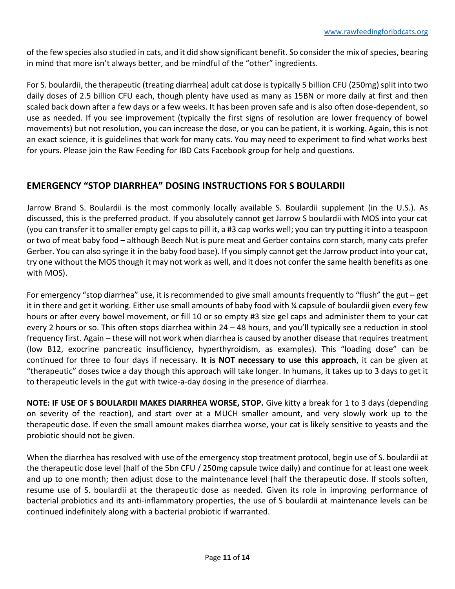of the few species also studied in cats, and it did show significant benefit. So consider the mix of species, bearing in mind that more isn't always better, and be mindful of the "other" ingredients.

For S. boulardii, the therapeutic (treating diarrhea) adult cat dose is typically 5 billion CFU (250mg) split into two daily doses of 2.5 billion CFU each, though plenty have used as many as 15BN or more daily at first and then scaled back down after a few days or a few weeks. It has been proven safe and is also often dose-dependent, so use as needed. If you see improvement (typically the first signs of resolution are lower frequency of bowel movements) but not resolution, you can increase the dose, or you can be patient, it is working. Again, this is not an exact science, it is guidelines that work for many cats. You may need to experiment to find what works best for yours. Please join the Raw Feeding for IBD Cats Facebook group for help and questions.

# **EMERGENCY "STOP DIARRHEA" DOSING INSTRUCTIONS FOR S BOULARDII**

Jarrow Brand S. Boulardii is the most commonly locally available S. Boulardii supplement (in the U.S.). As discussed, this is the preferred product. If you absolutely cannot get Jarrow S boulardii with MOS into your cat (you can transfer it to smaller empty gel caps to pill it, a #3 cap works well; you can try putting it into a teaspoon or two of meat baby food – although Beech Nut is pure meat and Gerber contains corn starch, many cats prefer Gerber. You can also syringe it in the baby food base). If you simply cannot get the Jarrow product into your cat, try one without the MOS though it may not work as well, and it does not confer the same health benefits as one with MOS).

For emergency "stop diarrhea" use, it is recommended to give small amounts frequently to "flush" the gut – get it in there and get it working. Either use small amounts of baby food with ¼ capsule of boulardii given every few hours or after every bowel movement, or fill 10 or so empty #3 size gel caps and administer them to your cat every 2 hours or so. This often stops diarrhea within 24 – 48 hours, and you'll typically see a reduction in stool frequency first. Again – these will not work when diarrhea is caused by another disease that requires treatment (low B12, exocrine pancreatic insufficiency, hyperthyroidism, as examples). This "loading dose" can be continued for three to four days if necessary. **It is NOT necessary to use this approach**, it can be given at "therapeutic" doses twice a day though this approach will take longer. In humans, it takes up to 3 days to get it to therapeutic levels in the gut with twice-a-day dosing in the presence of diarrhea.

**NOTE: IF USE OF S BOULARDII MAKES DIARRHEA WORSE, STOP.** Give kitty a break for 1 to 3 days (depending on severity of the reaction), and start over at a MUCH smaller amount, and very slowly work up to the therapeutic dose. If even the small amount makes diarrhea worse, your cat is likely sensitive to yeasts and the probiotic should not be given.

When the diarrhea has resolved with use of the emergency stop treatment protocol, begin use of S. boulardii at the therapeutic dose level (half of the 5bn CFU / 250mg capsule twice daily) and continue for at least one week and up to one month; then adjust dose to the maintenance level (half the therapeutic dose. If stools soften, resume use of S. boulardii at the therapeutic dose as needed. Given its role in improving performance of bacterial probiotics and its anti-inflammatory properties, the use of S boulardii at maintenance levels can be continued indefinitely along with a bacterial probiotic if warranted.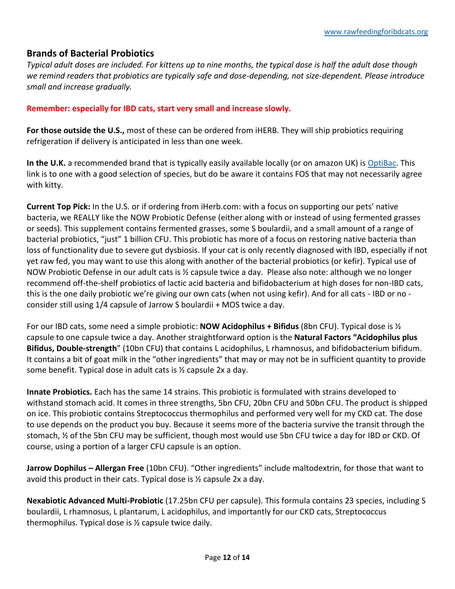## **Brands of Bacterial Probiotics**

*Typical adult doses are included. For kittens up to nine months, the typical dose is half the adult dose though we remind readers that probiotics are typically safe and dose-depending, not size-dependent. Please introduce small and increase gradually.*

#### **Remember: especially for IBD cats, start very small and increase slowly.**

**For those outside the U.S.,** most of these can be ordered from iHERB. They will ship probiotics requiring refrigeration if delivery is anticipated in less than one week.

In the U.K. a recommended brand that is typically easily available locally (or on amazon UK) is [OptiBac.](https://www.optibacprobiotics.co.uk/shop/for-every-day) This link is to one with a good selection of species, but do be aware it contains FOS that may not necessarily agree with kitty.

**Current Top Pick:** In the U.S. or if ordering from iHerb.com: with a focus on supporting our pets' native bacteria, we REALLY like the NOW Probiotic Defense (either along with or instead of using fermented grasses or seeds). This supplement contains fermented grasses, some S boulardii, and a small amount of a range of bacterial probiotics, "just" 1 billion CFU. This probiotic has more of a focus on restoring native bacteria than loss of functionality due to severe gut dysbiosis. If your cat is only recently diagnosed with IBD, especially if not yet raw fed, you may want to use this along with another of the bacterial probiotics (or kefir). Typical use of NOW Probiotic Defense in our adult cats is ½ capsule twice a day. Please also note: although we no longer recommend off-the-shelf probiotics of lactic acid bacteria and bifidobacterium at high doses for non-IBD cats, this is the one daily probiotic we're giving our own cats (when not using kefir). And for all cats - IBD or no consider still using 1/4 capsule of Jarrow S boulardii + MOS twice a day.

For our IBD cats, some need a simple probiotic: **NOW Acidophilus + Bifidus** (8bn CFU). Typical dose is ½ capsule to one capsule twice a day. Another straightforward option is the **Natural Factors "Acidophilus plus Bifidus, Double-strength**" (10bn CFU) that contains L acidophilus, L rhamnosus, and bifidobacterium bifidum. It contains a bit of goat milk in the "other ingredients" that may or may not be in sufficient quantity to provide some benefit. Typical dose in adult cats is ½ capsule 2x a day.

**Innate Probiotics.** Each has the same 14 strains. This probiotic is formulated with strains developed to withstand stomach acid. It comes in three strengths, 5bn CFU, 20bn CFU and 50bn CFU. The product is shipped on ice. This probiotic contains Streptococcus thermophilus and performed very well for my CKD cat. The dose to use depends on the product you buy. Because it seems more of the bacteria survive the transit through the stomach, ½ of the 5bn CFU may be sufficient, though most would use 5bn CFU twice a day for IBD or CKD. Of course, using a portion of a larger CFU capsule is an option.

**Jarrow Dophilus – Allergan Free** (10bn CFU). "Other ingredients" include maltodextrin, for those that want to avoid this product in their cats. Typical dose is ½ capsule 2x a day.

**Nexabiotic Advanced Multi-Probiotic** (17.25bn CFU per capsule). This formula contains 23 species, including S boulardii, L rhamnosus, L plantarum, L acidophilus, and importantly for our CKD cats, Streptococcus thermophilus. Typical dose is ½ capsule twice daily.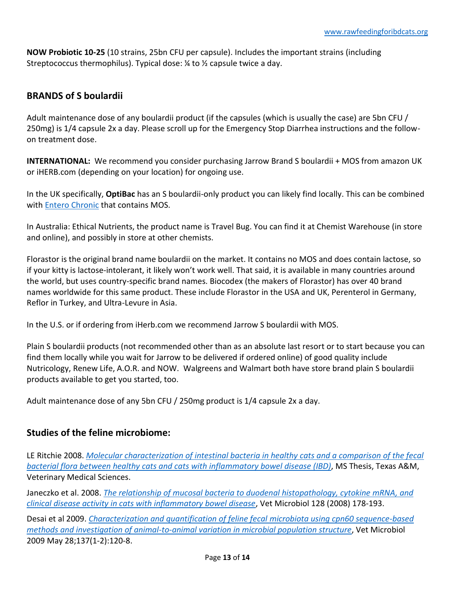**NOW Probiotic 10-25** (10 strains, 25bn CFU per capsule). Includes the important strains (including Streptococcus thermophilus). Typical dose:  $\frac{1}{2}$  to  $\frac{1}{2}$  capsule twice a day.

# **BRANDS of S boulardii**

Adult maintenance dose of any boulardii product (if the capsules (which is usually the case) are 5bn CFU / 250mg) is 1/4 capsule 2x a day. Please scroll up for the Emergency Stop Diarrhea instructions and the followon treatment dose.

**INTERNATIONAL:** We recommend you consider purchasing Jarrow Brand S boulardii + MOS from amazon UK or iHERB.com (depending on your location) for ongoing use.

In the UK specifically, **OptiBac** has an S boulardii-only product you can likely find locally. This can be combined with [Entero Chronic](https://www.amazon.co.uk/BIOIBERICA-8430336091083-Bioiberica-Entero-Chronic-Sachet/dp/B00O4AS19E/ref=sr_1_1?ie=UTF8&qid=1550117593&sr=8-1&keywords=entero+chronic) that contains MOS.

In Australia: Ethical Nutrients, the product name is Travel Bug. You can find it at Chemist Warehouse (in store and online), and possibly in store at other chemists.

Florastor is the original brand name boulardii on the market. It contains no MOS and does contain lactose, so if your kitty is lactose-intolerant, it likely won't work well. That said, it is available in many countries around the world, but uses country-specific brand names. Biocodex (the makers of Florastor) has over 40 brand names worldwide for this same product. These include Florastor in the USA and UK, Perenterol in Germany, Reflor in Turkey, and Ultra-Levure in Asia.

In the U.S. or if ordering from iHerb.com we recommend Jarrow S boulardii with MOS.

Plain S boulardii products (not recommended other than as an absolute last resort or to start because you can find them locally while you wait for Jarrow to be delivered if ordered online) of good quality include Nutricology, Renew Life, A.O.R. and NOW. Walgreens and Walmart both have store brand plain S boulardii products available to get you started, too.

Adult maintenance dose of any 5bn CFU / 250mg product is 1/4 capsule 2x a day.

## **Studies of the feline microbiome:**

LE Ritchie 2008. *[Molecular characterization of intestinal bacteria in healthy cats and a comparison of the fecal](http://oaktrust.library.tamu.edu/bitstream/handle/1969.1/ETD-TAMU-3081/RITCHIE-THESIS.pdf)  [bacterial flora between healthy cats and cats with inflammatory bowel disease \(IBD\)](http://oaktrust.library.tamu.edu/bitstream/handle/1969.1/ETD-TAMU-3081/RITCHIE-THESIS.pdf)*, MS Thesis, Texas A&M, Veterinary Medical Sciences.

Janeczko et al. 2008. *[The relationship of mucosal bacteria to duodenal histopathology, cytokine mRNA, and](http://www.vet.cornell.edu/labs/simpson/docs/Janeczko.pdf)  [clinical disease activity in cats with inflammatory bowel disease](http://www.vet.cornell.edu/labs/simpson/docs/Janeczko.pdf)*, Vet Microbiol 128 (2008) 178-193.

Desai et al 2009. *[Characterization and quantification of feline fecal microbiota using cpn60 sequence-based](http://www.ncbi.nlm.nih.gov/pubmed/19167842)  [methods and investigation of animal-to-animal variation in microbial population structure](http://www.ncbi.nlm.nih.gov/pubmed/19167842)*, Vet Microbiol 2009 May 28;137(1-2):120-8.